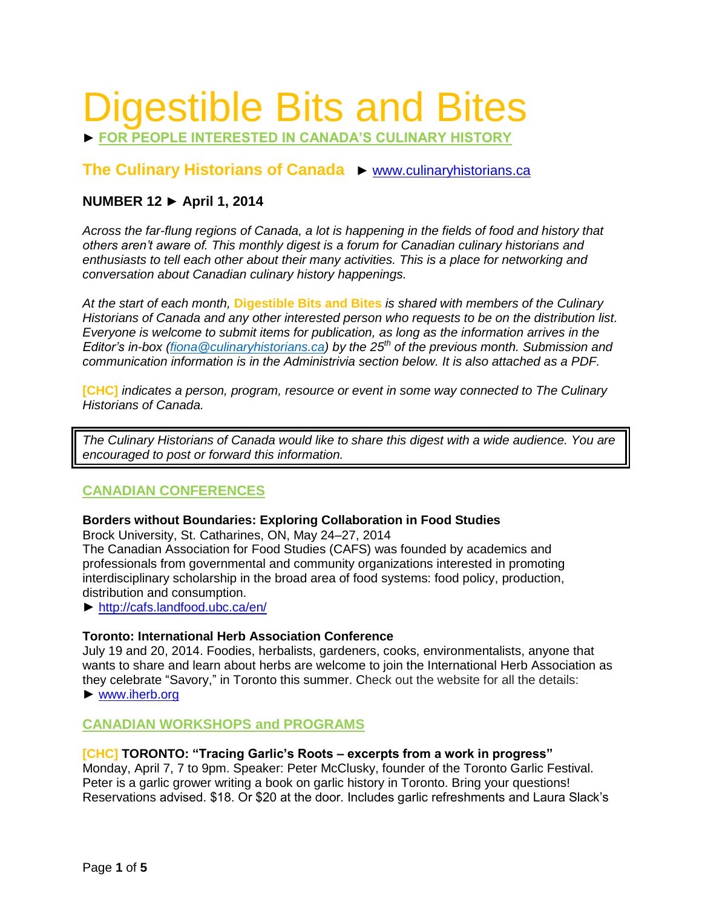# Digestible Bits and Bites

► **FOR PEOPLE INTERESTED IN CANADA'S CULINARY HISTORY**

# **The Culinary Historians of Canada** ► [www.culinaryhistorians.ca](http://www.culinaryhistorians.ca/)

# **NUMBER 12 ► April 1, 2014**

*Across the far-flung regions of Canada, a lot is happening in the fields of food and history that others aren't aware of. This monthly digest is a forum for Canadian culinary historians and enthusiasts to tell each other about their many activities. This is a place for networking and conversation about Canadian culinary history happenings.* 

*At the start of each month,* **Digestible Bits and Bites** *is shared with members of the Culinary Historians of Canada and any other interested person who requests to be on the distribution list. Everyone is welcome to submit items for publication, as long as the information arrives in the Editor's in-box [\(fiona@culinaryhistorians.ca\)](mailto:fiona@culinaryhistorians.ca) by the 25th of the previous month. Submission and communication information is in the Administrivia section below. It is also attached as a PDF.*

**[CHC]** *indicates a person, program, resource or event in some way connected to The Culinary Historians of Canada.*

*The Culinary Historians of Canada would like to share this digest with a wide audience. You are encouraged to post or forward this information.*

# **CANADIAN CONFERENCES**

#### **Borders without Boundaries: Exploring Collaboration in Food Studies**

Brock University, St. Catharines, ON, May 24–27, 2014

The Canadian Association for Food Studies (CAFS) was founded by academics and professionals from governmental and community organizations interested in promoting interdisciplinary scholarship in the broad area of food systems: food policy, production, distribution and consumption.

► <http://cafs.landfood.ubc.ca/en/>

## **Toronto: International Herb Association Conference**

July 19 and 20, 2014. Foodies, herbalists, gardeners, cooks, environmentalists, anyone that wants to share and learn about herbs are welcome to join the International Herb Association as they celebrate "Savory," in Toronto this summer. Check out the website for all the details: ► [www.iherb.org](http://www.iherb.org/)

## **CANADIAN WORKSHOPS and PROGRAMS**

#### **[CHC] TORONTO: "Tracing Garlic's Roots – excerpts from a work in progress"**

Monday, April 7, 7 to 9pm. Speaker: Peter McClusky, founder of the Toronto Garlic Festival. Peter is a garlic grower writing a book on garlic history in Toronto. Bring your questions! Reservations advised. \$18. Or \$20 at the door. Includes garlic refreshments and Laura Slack's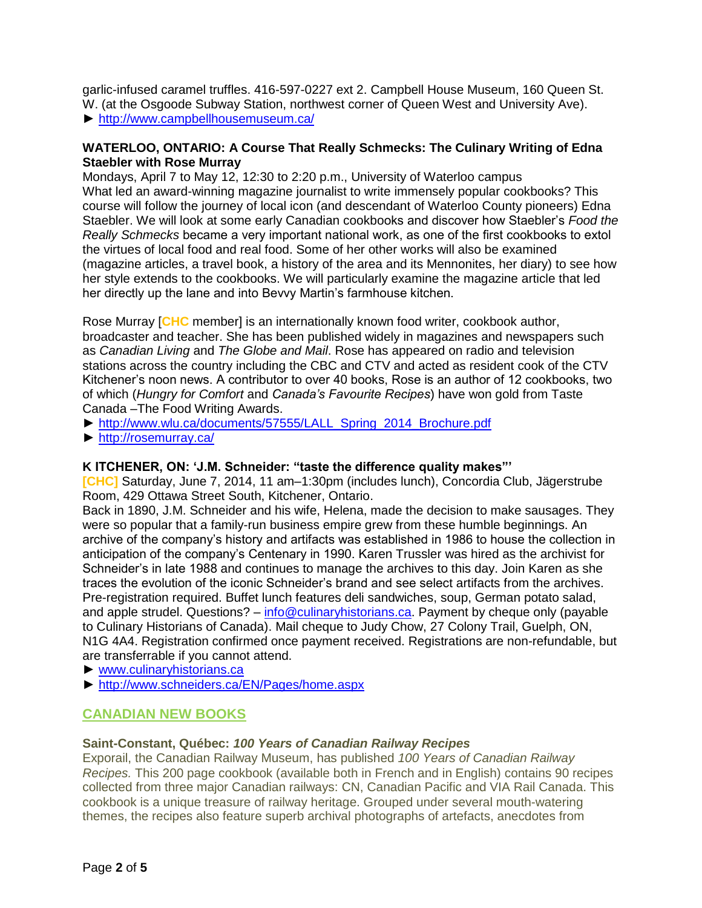garlic-infused caramel truffles. 416-597-0227 ext 2. Campbell House Museum, 160 Queen St. W. (at the Osgoode Subway Station, northwest corner of Queen West and University Ave). ► <http://www.campbellhousemuseum.ca/>

## **WATERLOO, ONTARIO: A Course That Really Schmecks: The Culinary Writing of Edna Staebler with Rose Murray**

Mondays, April 7 to May 12, 12:30 to 2:20 p.m., University of Waterloo campus What led an award-winning magazine journalist to write immensely popular cookbooks? This course will follow the journey of local icon (and descendant of Waterloo County pioneers) Edna Staebler. We will look at some early Canadian cookbooks and discover how Staebler's *Food the Really Schmecks* became a very important national work, as one of the first cookbooks to extol the virtues of local food and real food. Some of her other works will also be examined (magazine articles, a travel book, a history of the area and its Mennonites, her diary) to see how her style extends to the cookbooks. We will particularly examine the magazine article that led her directly up the lane and into Bevvy Martin's farmhouse kitchen.

Rose Murray [**CHC** member] is an internationally known food writer, cookbook author, broadcaster and teacher. She has been published widely in magazines and newspapers such as *Canadian Living* and *The Globe and Mail*. Rose has appeared on radio and television stations across the country including the CBC and CTV and acted as resident cook of the CTV Kitchener's noon news. A contributor to over 40 books, Rose is an author of 12 cookbooks, two of which (*Hungry for Comfort* and *Canada's Favourite Recipes*) have won gold from Taste Canada –The Food Writing Awards.

- ► [http://www.wlu.ca/documents/57555/LALL\\_Spring\\_2014\\_Brochure.pdf](http://www.wlu.ca/documents/57555/LALL_Spring_2014_Brochure.pdf)
- ► <http://rosemurray.ca/>

## **K ITCHENER, ON: 'J.M. Schneider: "taste the difference quality makes"'**

**[CHC]** Saturday, June 7, 2014, 11 am–1:30pm (includes lunch), Concordia Club, Jägerstrube Room, 429 Ottawa Street South, Kitchener, Ontario.

Back in 1890, J.M. Schneider and his wife, Helena, made the decision to make sausages. They were so popular that a family-run business empire grew from these humble beginnings. An archive of the company's history and artifacts was established in 1986 to house the collection in anticipation of the company's Centenary in 1990. Karen Trussler was hired as the archivist for Schneider's in late 1988 and continues to manage the archives to this day. Join Karen as she traces the evolution of the iconic Schneider's brand and see select artifacts from the archives. Pre-registration required. Buffet lunch features deli sandwiches, soup, German potato salad, and apple strudel. Questions? – [info@culinaryhistorians.ca.](mailto:info@culinaryhistorians.ca) Payment by cheque only (payable to Culinary Historians of Canada). Mail cheque to Judy Chow, 27 Colony Trail, Guelph, ON, N1G 4A4. Registration confirmed once payment received. Registrations are non-refundable, but are transferrable if you cannot attend.

- ► [www.culinaryhistorians.ca](http://www.culinaryhistorians.ca/)
- ► <http://www.schneiders.ca/EN/Pages/home.aspx>

# **CANADIAN NEW BOOKS**

## **Saint-Constant, Québec:** *100 Years of Canadian Railway Recipes*

Exporail, the Canadian Railway Museum, has published *100 Years of Canadian Railway Recipes.* This 200 page cookbook (available both in French and in English) contains 90 recipes collected from three major Canadian railways: CN, Canadian Pacific and VIA Rail Canada. This cookbook is a unique treasure of railway heritage. Grouped under several mouth-watering themes, the recipes also feature superb archival photographs of artefacts, anecdotes from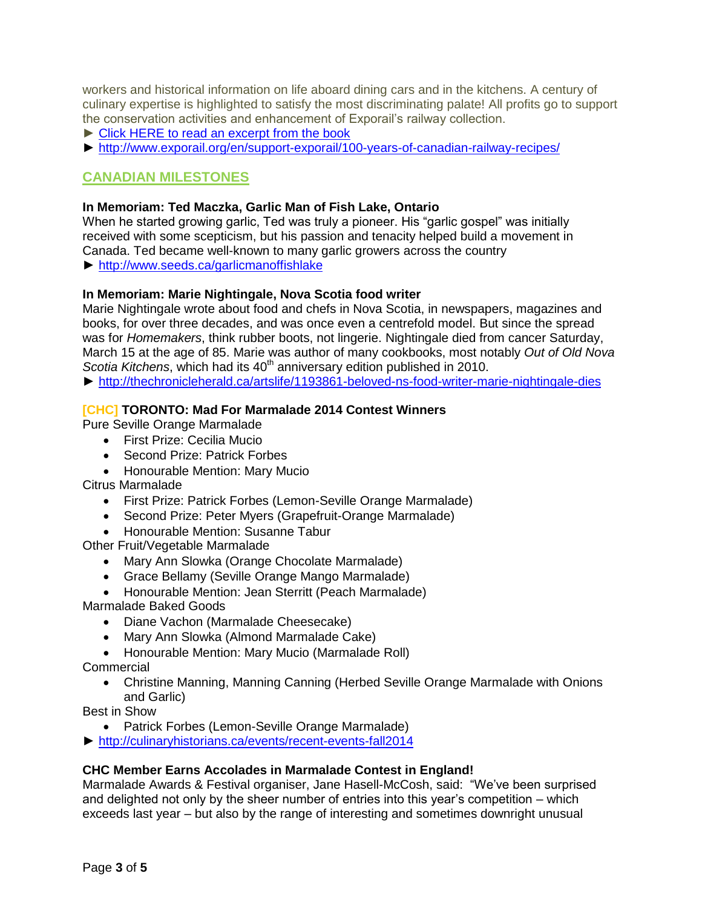workers and historical information on life aboard dining cars and in the kitchens. A century of culinary expertise is highlighted to satisfy the most discriminating palate! All profits go to support the conservation activities and enhancement of Exporail's railway collection.

- ► Click HERE to read an [excerpt](http://www.exporail.org/fileadmin/images/Livre_eng.pdf) from the book
- ► <http://www.exporail.org/en/support-exporail/100-years-of-canadian-railway-recipes/>

# **CANADIAN MILESTONES**

#### **In Memoriam: Ted Maczka, Garlic Man of Fish Lake, Ontario**

When he started growing garlic, Ted was truly a pioneer. His "garlic gospel" was initially received with some scepticism, but his passion and tenacity helped build a movement in Canada. Ted became well-known to many garlic growers across the country ► [http://www.seeds.ca/garlicmanoffishlake](http://www.seeds.ca/int/doc/docpub.php?k=e817140037e1c222cecd46aeb824a37900001008http://www.seeds.ca/int/doc/docpub.php?k=e817140037e1c222cecd46aeb824a37900001008)

# **In Memoriam: Marie Nightingale, Nova Scotia food writer**

Marie Nightingale wrote about food and chefs in Nova Scotia, in newspapers, magazines and books, for over three decades, and was once even a centrefold model. But since the spread was for *Homemakers*, think rubber boots, not lingerie. Nightingale died from cancer Saturday, March 15 at the age of 85. Marie was author of many cookbooks, most notably *Out of Old Nova*  Scotia Kitchens, which had its 40<sup>th</sup> anniversary edition published in 2010.

► <http://thechronicleherald.ca/artslife/1193861-beloved-ns-food-writer-marie-nightingale-dies>

#### **[CHC] TORONTO: Mad For Marmalade 2014 Contest Winners**

Pure Seville Orange Marmalade

First Prize: Cecilia Mucio

- Second Prize: Patrick Forbes
- Honourable Mention: Mary Mucio

Citrus Marmalade

- First Prize: Patrick Forbes (Lemon-Seville Orange Marmalade)
- Second Prize: Peter Myers (Grapefruit-Orange Marmalade)
- Honourable Mention: Susanne Tabur

Other Fruit/Vegetable Marmalade

- Mary Ann Slowka (Orange Chocolate Marmalade)
- Grace Bellamy (Seville Orange Mango Marmalade)
- Honourable Mention: Jean Sterritt (Peach Marmalade)

Marmalade Baked Goods

- Diane Vachon (Marmalade Cheesecake)
- Mary Ann Slowka (Almond Marmalade Cake)
- Honourable Mention: Mary Mucio (Marmalade Roll)

**Commercial** 

 Christine Manning, Manning Canning (Herbed Seville Orange Marmalade with Onions and Garlic)

Best in Show

Patrick Forbes (Lemon-Seville Orange Marmalade)

► [http://culinaryhistorians.ca/events/recent-events-fall2014](http://culinaryhistorians.ca/events/recent-events-fall2012)

#### **CHC Member Earns Accolades in Marmalade Contest in England!**

Marmalade Awards & Festival organiser, Jane Hasell-McCosh, said: "We've been surprised and delighted not only by the sheer number of entries into this year's competition – which exceeds last year – but also by the range of interesting and sometimes downright unusual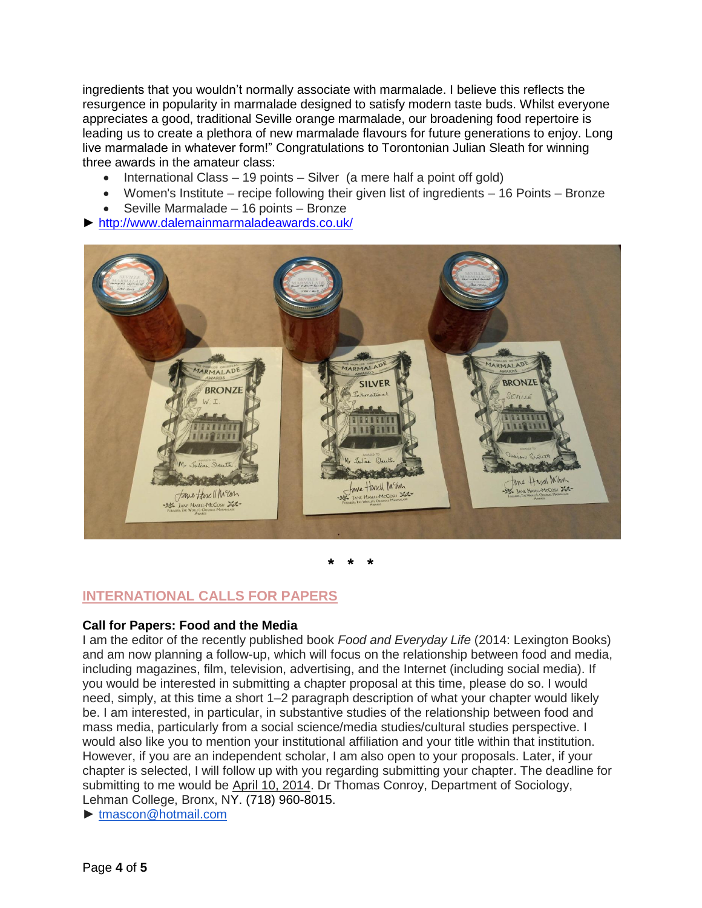ingredients that you wouldn't normally associate with marmalade. I believe this reflects the resurgence in popularity in marmalade designed to satisfy modern taste buds. Whilst everyone appreciates a good, traditional Seville orange marmalade, our broadening food repertoire is leading us to create a plethora of new marmalade flavours for future generations to enjoy. Long live marmalade in whatever form!" Congratulations to Torontonian Julian Sleath for winning three awards in the amateur class:

- International Class 19 points Silver (a mere half a point off gold)
- Women's Institute recipe following their given list of ingredients 16 Points Bronze
- Seville Marmalade 16 points Bronze
- ► <http://www.dalemainmarmaladeawards.co.uk/>



**\* \* \***

# **INTERNATIONAL CALLS FOR PAPERS**

#### **Call for Papers: Food and the Media**

I am the editor of the recently published book *Food and Everyday Life* (2014: Lexington Books) and am now planning a follow-up, which will focus on the relationship between food and media, including magazines, film, television, advertising, and the Internet (including social media). If you would be interested in submitting a chapter proposal at this time, please do so. I would need, simply, at this time a short 1–2 paragraph description of what your chapter would likely be. I am interested, in particular, in substantive studies of the relationship between food and mass media, particularly from a social science/media studies/cultural studies perspective. I would also like you to mention your institutional affiliation and your title within that institution. However, if you are an independent scholar, I am also open to your proposals. Later, if your chapter is selected, I will follow up with you regarding submitting your chapter. The deadline for submitting to me would be April 10, 2014. Dr Thomas Conroy, Department of Sociology, Lehman College, Bronx, NY. [\(718\) 960-8015.](tel:%28718%29%20960%20-%208015)

► [tmascon@hotmail.com](mailto:tmascon@hotmail.com)